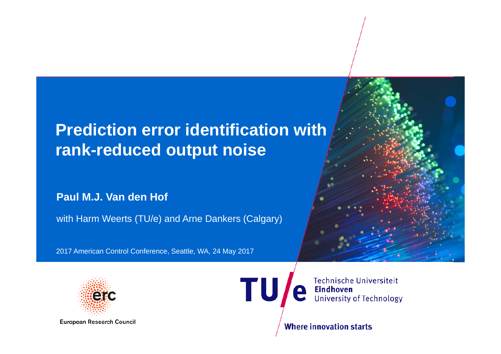# **Prediction error identification with rank-reduced output noise**

#### **Paul M.J. Van den Hof**

with Harm Weerts (TU/e) and Arne Dankers (Calgary)

2017 American Control Conference, Seattle, WA, 24 May 2017





**European Research Council** 

Technische Universiteit **Eindhoven**<br>University of Technology e

**Where innovation starts** 

TU,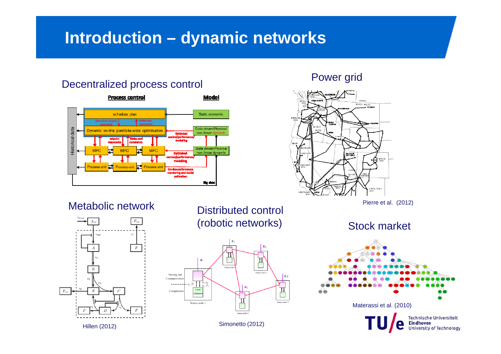### **Introduction – dynamic networks**

## Decentralized process control extending the Power grid



Metabolic network



Distributed control (robotic networks)



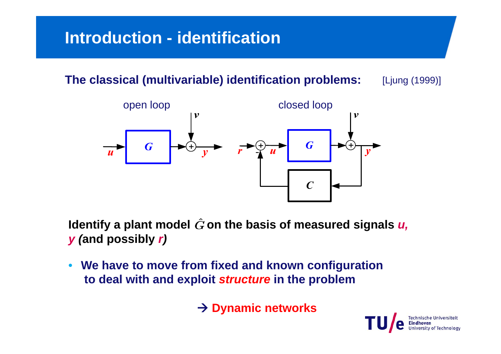# **Introduction - identification**

**The classical (multivariable) identification problems:** [Ljung (1999)]



Identify a plant model  $\hat{G}$  on the basis of measured signals *u*, *y (***and possibly** *r)*

 $\bullet$  **We have to move from fixed and known configuration to deal with and exploit** *structure* **in the problem**

**→ Dynamic networks** 

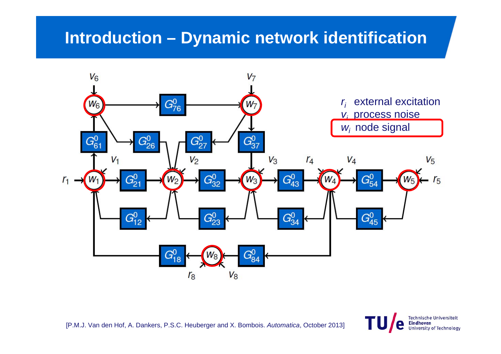### **Introduction – Dynamic network identification**



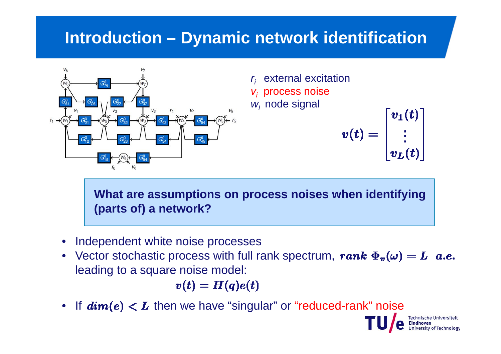### **Introduction – Dynamic network identification**



*ri* external excitation *vi* process noise *wi* node signal

$$
v(t) = \begin{bmatrix} v_1(t) \\ \vdots \\ v_L(t) \end{bmatrix}
$$

**What are assumptions on process noises when identifying (parts of) a network?**

- Independent white noise processes
- Vector stochastic process with full rank spectrum, leading to a square noise model:

 $v(t) = H(q)e(t)$ 

• If  $\bm{dim}(\bm{e}) < \bm{L}$  then we have "singular" or "reduced-rank" noise

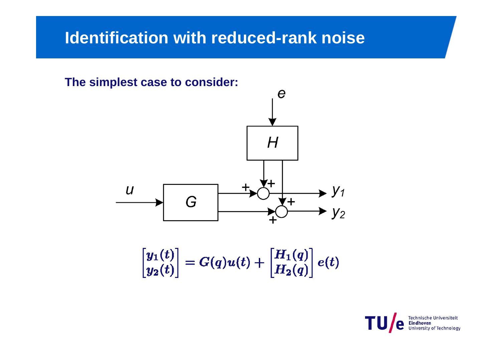### **Identification with reduced-rank noise**



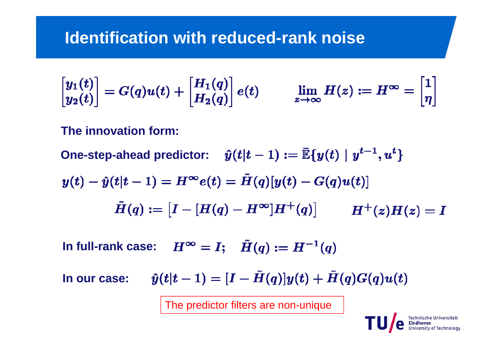### **Identification with reduced-rank noise**

$$
\begin{bmatrix} y_1(t) \\ y_2(t) \end{bmatrix} = G(q)u(t) + \begin{bmatrix} H_1(q) \\ H_2(q) \end{bmatrix} e(t) \qquad \lim_{z \to \infty} H(z) := H^{\infty} = \begin{bmatrix} 1 \\ \eta \end{bmatrix}
$$

**The innovation form:**

**One-step-ahead predictor:**  $\hat{y}(t|t-1) := \mathbb{E}\{y(t) | y^{t-1}, u^t\}$ 

$$
y(t)-\hat{y}(t|t-1)=H^\infty e(t)=\tilde{H}(q)[y(t)-G(q)u(t)]
$$
  

$$
\tilde{H}(q):=\begin{bmatrix}I-[H(q)-H^\infty]H^+(q)\end{bmatrix}\qquad H^+(z)H(z)=I
$$

**In full-rank case:**

**In our case:**

The predictor filters are non-unique

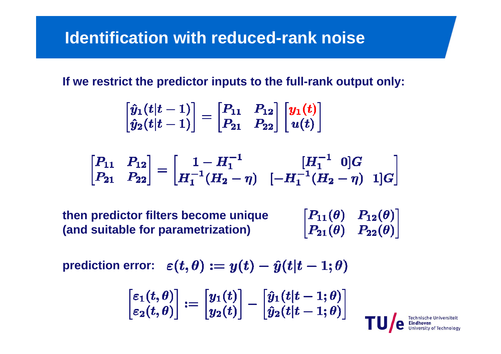### **Identification with reduced-rank noise**

**If we restrict the predictor inputs to the full-rank output only:**

$$
\begin{bmatrix} \hat{y}_1(t|t-1) \\ \hat{y}_2(t|t-1) \end{bmatrix} = \begin{bmatrix} P_{11} & P_{12} \\ P_{21} & P_{22} \end{bmatrix} \begin{bmatrix} y_1(t) \\ u(t) \end{bmatrix}
$$

$$
\begin{bmatrix} P_{11} & P_{12} \ P_{21} & P_{22} \end{bmatrix} = \begin{bmatrix} 1 - H_1^{-1} & [H_1^{-1} \ 0]G \\ H_1^{-1}(H_2 - \eta) & [-H_1^{-1}(H_2 - \eta) \ 1]G \end{bmatrix}
$$

 $\begin{bmatrix} P_{11}(\theta) & P_{12}(\theta) \ P_{21}(\theta) & P_{22}(\theta) \end{bmatrix}$ **then predictor filters become unique (and suitable for parametrization)**

**prediction error:**  $\varepsilon(t, \theta) := y(t) - \hat{y}(t|t-1; \theta)$ 

$$
\begin{bmatrix} \varepsilon_1(t,\theta) \\ \varepsilon_2(t,\theta) \end{bmatrix} := \begin{bmatrix} y_1(t) \\ y_2(t) \end{bmatrix} - \begin{bmatrix} \hat{y}_1(t|t-1;\theta) \\ \hat{y}_2(t|t-1;\theta) \end{bmatrix}
$$

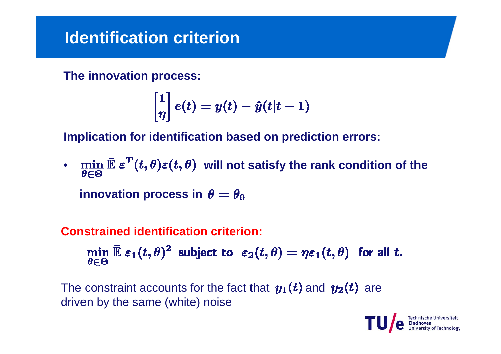### **Identification criterion**

**The innovation process:**

$$
\begin{bmatrix} 1 \\ \eta \end{bmatrix} e(t) = y(t) - \hat{y}(t|t-1)
$$

**Implication for identification based on prediction errors:**

•  $\min_{\mathcal{E}} \mathbb{E} \, \varepsilon^2 \left( t, \theta \right) \varepsilon(t,\theta)$  will not satisfy the rank condition of the **innovation process in**  $\theta = \theta_0$ 

### **Constrained identification criterion:**

$$
\min_{\theta \in \Theta} \bar{\mathbb{E}} \, \varepsilon_1(t,\theta)^2 \; \text{ subject to } \; \varepsilon_2(t,\theta) = \eta \varepsilon_1(t,\theta) \; \text{ for all } t.
$$

The constraint accounts for the fact that  $y_1(t)$  and  $y_2(t)$  are driven by the same (white) noise

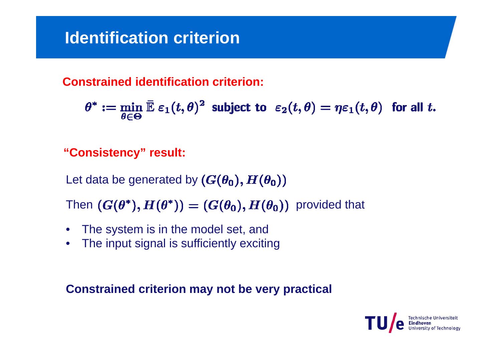## **Identification criterion**

**Constrained identification criterion:** 

$$
\theta^* := \min_{\theta \in \Theta} \bar{\mathbb{E}} \, \varepsilon_1(t,\theta)^2 \; \text{ subject to } \; \varepsilon_2(t,\theta) = \eta \varepsilon_1(t,\theta) \; \text{ for all } t.
$$

**"Consistency" result:**

Let data be generated by  $(G(\theta_0), H(\theta_0))$ 

Then  $(G(\theta^*), H(\theta^*)) = (G(\theta_0), H(\theta_0))$  provided that

- $\bullet$ The system is in the model set, and
- $\bullet$ The input signal is sufficiently exciting

**Constrained criterion may not be very practical**

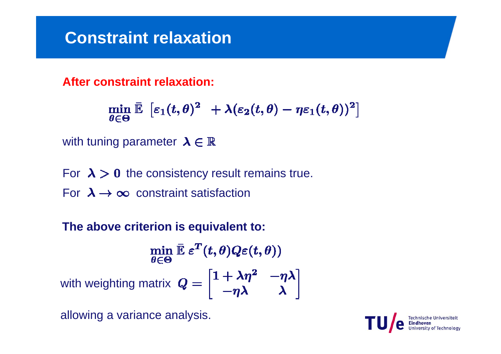### **Constraint relaxation**

**After constraint relaxation:**

$$
\min_{\theta\in\Theta} \, \bar{\mathbb{E}}\, \, \left[\varepsilon_1(t,\theta)^2\,\,+\lambda(\varepsilon_2(t,\theta)-\eta\varepsilon_1(t,\theta))^2\right]
$$

with tuning parameter  $\lambda \in \mathbb{R}$ 

For  $\lambda > 0$  the consistency result remains true. For  $\lambda \rightarrow \infty$  constraint satisfaction

**The above criterion is equivalent to:**

 $\min_{\theta \in \Theta} \bar{\mathbb{E}} \, \varepsilon^T(t, \theta) Q \varepsilon(t, \theta))$ <br>with weighting matrix  $Q = \begin{bmatrix} 1 + \lambda \eta^2 & -\eta \lambda \\ -\eta \lambda & \lambda \end{bmatrix}$ 

allowing a variance analysis.

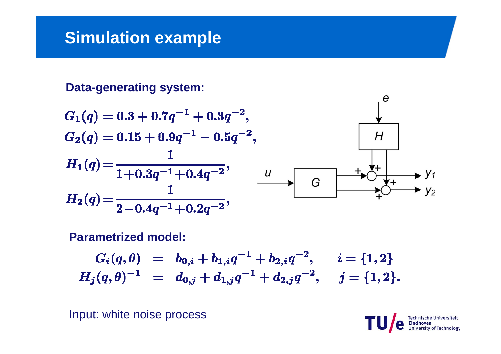**Data-generating system:**

$$
G_1(q) = 0.3 + 0.7q^{-1} + 0.3q^{-2},
$$
  
\n
$$
G_2(q) = 0.15 + 0.9q^{-1} - 0.5q^{-2},
$$
  
\n
$$
H_1(q) = \frac{1}{1 + 0.3q^{-1} + 0.4q^{-2}},
$$
  
\n
$$
H_2(q) = \frac{1}{2 - 0.4q^{-1} + 0.2q^{-2}},
$$
  
\n
$$
H_3(q) = \frac{1}{2 - 0.4q^{-1} + 0.2q^{-2}},
$$
  
\n
$$
H_4(q) = \frac{1}{2 - 0.4q^{-1} + 0.2q^{-2}},
$$

**Parametrized model:**

$$
\begin{array}{rcl} G_i(q,\theta) & = & b_{0,i} + b_{1,i}q^{-1} + b_{2,i}q^{-2}, \quad \ \, i = \{1,2\} \\ H_j(q,\theta)^{-1} & = & d_{0,j} + d_{1,j}q^{-1} + d_{2,j}q^{-2}, \quad \ j = \{1,2\}. \end{array}
$$

Input: white noise process



 $\boldsymbol{e}$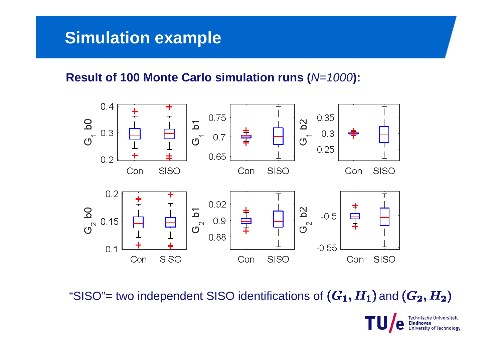### **Result of 100 Monte Carlo simulation runs (***N=1000***):**



"SISO"= two independent SISO identifications of  $(G_1, H_1)$  and  $(G_2, H_2)$ 

**Technische Universiteit University of Technology**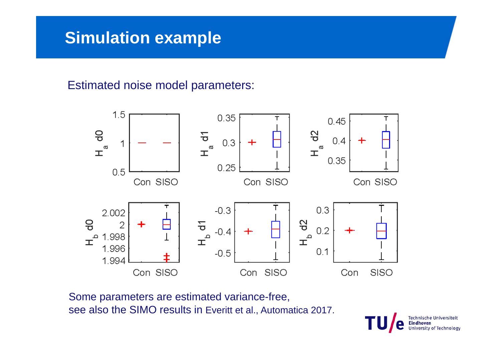#### Estimated noise model parameters:



Some parameters are estimated variance-free, see also the SIMO results in Everitt et al., Automatica 2017.

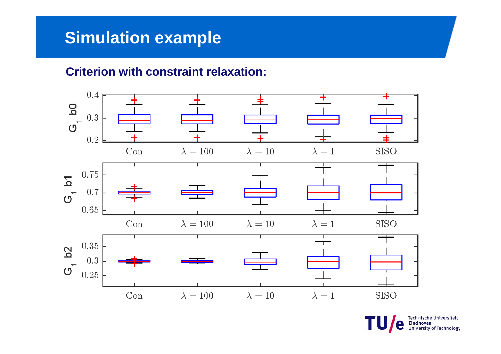### **Criterion with constraint relaxation:**